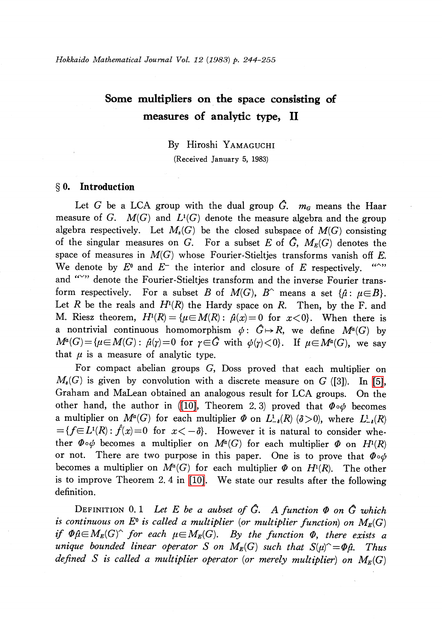# Some multipliers on the space consisting of measures of analytic type, II

By Hiroshi YAMAGUCHI

(Received January 5, 1983)

## $\S$  0. Introduction

Let G be a LCA group with the dual group  $\hat{G}$ .  $m_{G}$  means the Haar measure of G.  $M(G)$  and  $L^{1}(G)$  denote the measure algebra and the group algebra respectively. Let  $M_{s}(G)$  be the closed subspace of  $M(G)$  consisting of the singular measures on G. For a subset E of  $\tilde{G}$ ,  $M_{E}(G)$  denotes the space of measures in  $M(G)$  whose Fourier-Stieltjes transforms vanish off E. We denote by  $E^{0}$  and  $E^{-}$  the interior and closure of E respectively. and ">" denote the Fourier-Stieltjes transform and the inverse Fourier transform respectively. For a subset  $B$  of  $M(G),$   $B^{\wedge}$  means a set  $\{\hat{\mu}:\ \mu\!\in\! B\}.$ Let R be the reals and  $H^{1}(R)$  the Hardy space on R. Then, by the F. and M. Riesz theorem,  $H^{1}(R) = {\mu \in M(R) : \hat{\mu}(x)=0 \text{ for } x<0}.$  When there is a nontrivial continuous homomorphism  $\phi: G\mapsto R$ , we define  $M^{a}(G)$  by  $M^{a}(G) = {\mathcal{\mu}} \in M(G) : \hat{\mu}(\gamma)=0$  for  $\gamma \in \hat{G}$  with  $\psi(\gamma)<0$ . If  $\mu\in M^{a}(G)$ , we say that  $\mu$  is a measure of analytic type.

For compact abelian groups G, Doss proved that each multiplier on  $M_{s}(G)$  is given by convolution with a discrete measure on G ([3]). In [\[5\],](#page-10-0) Graham and MaLean obtained an analogous result for LCA groups. On the other hand, the author in [\(\[10\],](#page-11-0) Theorem 2.3) proved that  $\Phi\circ\phi$  becomes a multiplier on  $M^{\alpha}(G)$  for each multiplier  $\Phi$  on  $L_{-\delta}^{1}(R)(\delta>0)$ , where  $L_{-\delta}^{1}(R)$  $=\{ f\in L^{1}(R):\hat{f}(x)=0 \text{ for } x<-\delta \}.$  However it is natural to consider whether  $\Phi\circ\phi$  becomes a multiplier on  $M^{a}(G)$  for each multiplier  $\Phi$  on  $H^{1}(R)$ or not. There are two purpose in this paper. One is to prove that  $\Phi\circ\phi$ becomes a multiplier on  $M^{\alpha}(G)$  for each multiplier  $\Phi$  on  $H^{1}(R)$ . The other is to improve Theorem 2. 4 in [\[10\].](#page-11-0) We state our results after the following definition.

DEFINITION 0.1 Let E be a aubset of  $\hat{G}$ . A function  $\Phi$  on  $\hat{G}$  which is continuous on  $E^{0}$  is called a multiplier (or multiplier function) on  $M_{E}(G)$ if  $\Phi\hat{\mu}\!\in \!M_{E}(G)^{\sim}$  for each  $\mu\!\in \!M_{E}(G)$ . By the function  $\Phi$ , there exists a unique bounded linear operator  $S$  on  $M_{\mathcal{E}}(G)$  such that  $S(\mu)^{\sim}=\varPhi\hat{\mu}$ . Thus defined S is called a multiplier operator (or merely multiplier) on  $M_{E}(G)$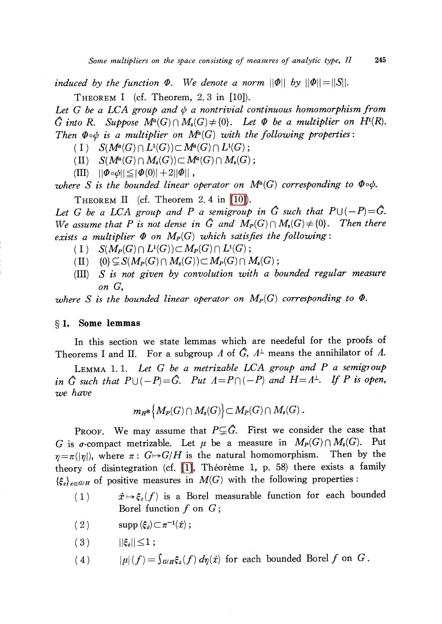induced by the function  $\varPhi$ . We denote a norm  $||\varPhi||$  by  $||\varPhi||=||S||.$ 

THEOREM I (cf. Theorem, 2. 3 in [10]).

Let G be a LCA group and  $\phi$  a nontrivial continuous homomorphism from G into R. Suppose  $M^{a}(G)\cap M_{s}(G)\neq\{0\}$ . Let  $\Phi$  be a multiplier on  $H^{1}(R)$ . Then  $\Phi\circ\phi$  is a multiplier on  $M^{a}(G)$  with the following properties:

(I)  $S(M^{a}(G)\cap L^{1}(G))\subset M^{a}(G)\cap L^{1}(G)$ ;

(II)  $S(M^{a}(G)\cap M_{s}(G))\subset M^{a}(G)\cap M_{s}(G)$  ;

 $\langle III \rangle$   $||\Phi\circ\phi|| \leq |\Phi(0)|+2||\Phi||$  ,

where  $S$  is the bounded linear operator on  $M^{a}(G)$  corresponding to  $\pmb{\Phi}\circ\pmb{\phi}.$ 

THEOREM II (cf. Theorem 2.4 in [\[10\]\)](#page-11-0).

Let G be a LCA group and P a semigroup in  $\hat{G}$  such that  $P\cup(-P)=\hat{G}$ . We assume that P is not dense in  $\hat{G}$  and  $M_{P}(G)\cap M_{s}(G)\neq\{0\}$ . Then there exists a multiplier  $\Phi$  on  $M_{P}(G)$  which satisfies the following:

- (I)  $S(M_{P}(G)\cap L^{1}(G))\subset M_{P}(G)\cap L^{1}(G)$ ;
- (II)  $\{0\}\subsetneq S(M_{P}(G)\cap M_{s}(G))\subset M_{P}(G)\cap M_{s}(G)$  ;
- (III) S is not given by convolution with a bounded regular measure on G,

where  $S$  is the bounded linear operator on  $M_{P}(G)$  corresponding to  $\varPhi.$ 

## $\S 1.$  Some lemmas

In this section we state lemmas which are needeful for the proofs of Theorems I and II. For a subgroup  $\varLambda$  of  $\hat G$ ,  $\varLambda^{\perp}$  means the annihilator of  $\varLambda$ .

LEMMA 1.1. Let  $G$  be a metrizable LCA group and  $P$  a semigroup in  $G$  such that  $P\cup(-P)$  =  $\hat G$ . Put  $\varLambda=P\cap(-P)$  and  $H\!=\!\varLambda^{\!\perp}$ . If  $P$  is open, we have

$$
m_{H^*}\big\{M_P(G)\cap M_s(G)\big\} \subset M_P(G)\cap M_s(G)\ .
$$

Proof. We may assume that  $P \subsetneq \hat{G}$ . First we consider the case that G is  $\sigma$ -compact metrizable. Let  $\mu$  be a measure in  $M_{P}(G)\cap M_{s}(G)$ . Put  $\eta=\pi(|\eta|)$ , where  $\pi:G\mapsto G/H$  is the natural homomorphism. Then by the theory of disintegration (cf.  $[1]$ , Théorème 1, p. 58) there exists a family  $\{\xi_{x}\}_{x\in G/H}$  of positive measures in  $M(G)$  with the following properties:

- (1)  $\dot{x}\mapsto\xi_{x}(f)$  is a Borel measurable function for each bounded Borel function  $f$  on  $G$ ;
- (2)  $\text{supp} (\xi_{\dot{x}})\subset \pi^{-1}(\dot{x})$ ;
- $(|3)$   $||\xi_{x}||\leq 1 ;$
- (4)  $|\mu|(f) = \int_{G/H}\xi_{x}(f) d\eta(\dot{x})$  for each bounded Borel f on G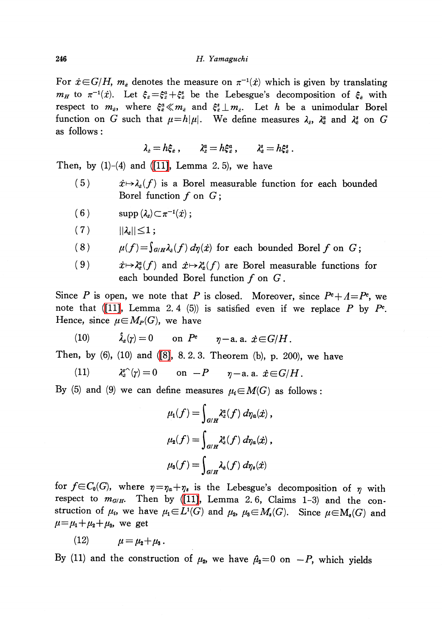For  $\dot{x} \in G/H$ ,  $m_{\dot{x}}$  denotes the measure on  $\pi^{-1}(\dot{x})$  which is given by translating  $m_{H}$  to  $\pi^{-1}(\dot{x})$ . Let  $\xi_{\dot{x}}=\xi_{\dot{x}}^{a}+\xi_{\dot{x}}^{s}$  be the Lebesgue's decomposition of  $\xi_{\dot{x}}$  with respect to  $m_{\dot{e}},$  where  $\xi_{\dot{e}}^{a}\ll m_{\dot{x}}$  and  $\xi_{\dot{x}}^{s}\perp m_{\dot{x}}$ . Let  $h$  be a unimodular Borel function on  $G$  such that  $\mu\!=\!h|\mu|$ . We define measures  $\lambda_{\dot{x}},$   $\lambda_{\dot{x}}^{a}$  and  $\lambda_{\dot{x}}^{s}$  on  $G$ as follows :

$$
\lambda_{\dot z} = h \xi_{\dot x} \ , \qquad \lambda_{\dot z}^a = h \xi_{\dot x}^a \ , \qquad \lambda_{\dot x}^s = h \xi_{\dot x}^s \ .
$$

Then, by  $(1)-(4)$  and  $(11]$ , Lemma 2.5), we have

- (5)  $\dot{x}\mapsto\lambda_{\dot{x}}(f)$  is a Borel measurable function for each bounded Borel function  $f$  on  $G$ ;
- (6)  $\supp (\lambda_{\dot{x}})\subset\pi^{-1}(\dot{x})$ ;
- (7)  $||\lambda_i|| \leq 1 ;$

(8) 
$$
\mu(f) = \int_{G/H} \lambda_i(f) d\eta(\dot{x})
$$
 for each bounded Borel f on G;

(9) 
$$
\dot{x} \mapsto \lambda_{\dot{x}}^a(f)
$$
 and  $\dot{x} \mapsto \lambda_{\dot{x}}^s(f)$  are Borel measurable functions for each bounded Borel function  $f$  on  $G$ .

Since P is open, we note that P is closed. Moreover, since  $P^{e}+A=P^{e}$ , we note that [\(\[11\],](#page-11-1) Lemma 2.4 (5)) is satisfied even if we replace  $P$  by  $P^c$ . Hence, since  $\mu\in M_{P}(G)$ , we have

$$
(10) \hspace{1cm} \hat{\lambda}_z(\gamma)=0 \hspace{1cm} \text{on} \hspace{0.1cm} P^c \hspace{1cm} \eta-\text{a. a.} \hspace{0.1cm} \hat{x}\!\in\! G/H\,.
$$

Then, by (6), (10) and [\(\[8\],](#page-10-2) 8. 2. 3. Theorem (b), p. 200), we have

(11) 
$$
\lambda_i^{s\wedge}(\gamma) = 0 \quad \text{on } -P \quad \eta-\text{a. a. } \dot{x} \in G/H.
$$

By (5) and (9) we can define measures  $\mu_{i} \in M(G)$  as follows:

$$
\mu_1(f) = \int_{G/H} \lambda_{\hat{x}}^a(f) d\eta_a(\dot{x}),
$$
  

$$
\mu_2(f) = \int_{G/H} \lambda_{\hat{x}}^s(f) d\eta_a(\dot{x}),
$$
  

$$
\mu_3(f) = \int_{G/H} \lambda_{\hat{x}}(f) d\eta_s(\dot{x})
$$

for  $f\in C_{0}(G)$ , where  $\eta=\eta_{a}+\eta_{s}$  is the Lebesgue's decomposition of  $\eta$  with respect to  $m_{G/H}$ . Then by [\(\[11\],](#page-11-1) Lemma 2.6, Claims 1-3) and the construction of  $\mu_{i}$ , we have  $\mu_{1}\in L^{1}(G)$  and  $\mu_{2}$ ,  $\mu_{3}\in M_{s}(G)$ . Since  $\mu\in M_{s}(G)$  and  $\mu=\mu_{1}+\mu_{2}+\mu_{3}$ , we get

$$
(12) \qquad \qquad \mu = \mu_{2} + \mu_{3} \, .
$$

By (11) and the construction of  $\mu_{2}$ , we have  $\hat{\mu}_{2}=0$  on  $-P$ , which yields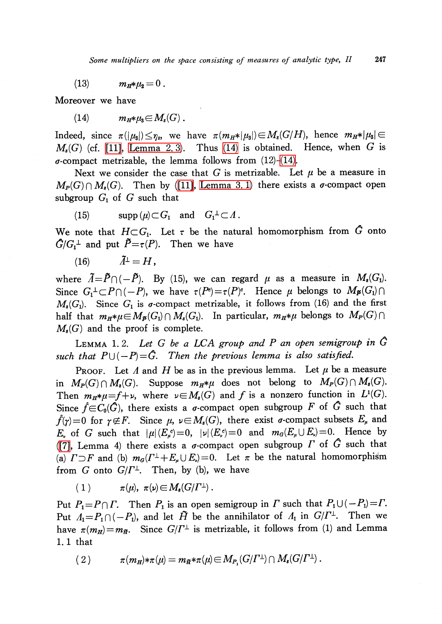(13) 
$$
m_H * \mu_2 = 0
$$
.

Moreover we have

<span id="page-3-0"></span>
$$
(14) \t m_H * \mu_{\mathbf{3}} {\in} M_{\mathbf{s}}(G).
$$

Indeed, since  $\pi(|\mu_{3}|) \leq \eta_{s}$ , we have  $\pi(m_{H}*|\mu_{3}|) \in M_{s}(G/H)$ , hence  $m_{H}*|\mu_{3}|\in$  $M_{s}(G)$  (cf. [\[11\],](#page-11-1) [Lemma](#page-4-0) 2. 3). Thus [\(14\)](#page-3-0) is obtained. Hence, when G is  $\sigma$ -compact metrizable, the lemma follows from (12)-[\(14\).](#page-3-0)

Next we consider the case that G is metrizable. Let  $\mu$  be a measure in  $M_{P}(G)\cap M_{s}(G)$ . Then by [\(\[11\],](#page-11-1) [Lemma](#page-7-0) 3. 1) there exists a  $\sigma$ -compact open subgroup  $G_{1}$  of G such that

$$
(15) \qquad \operatorname{supp}\,(\mu)\!\subset\! G_1 \quad \text{and} \quad G_1^{\perp}\!\subset\! \varLambda\,.
$$

We note that  $H{\subset} G_{1}$ . Let  $\tau$  be the natural homomorphism from  $G$  onto  $\hat{G}/G_{1}^{\perp}$  and put  $\tilde{P}=\tau(P)$ . Then we have

$$
(16) \hspace{1cm} \tilde{A}^{\perp} = H \,,
$$

where  $\tilde{\Lambda}= \tilde{P}\cap(-\tilde{P})$ . By (15), we can regard  $\mu$  as a measure in  $M_{\bullet}(G_{1})$ . Since  $G_{1}^{\perp}\subset P\cap(-P)$ , we have  $\tau(P^{e})=\tau(P)^{e}$ . Hence  $\mu$  belongs to  $M_{\mathcal{F}}(G_{1})\cap$  $M_{s}(G_{1})$ . Since  $G_{1}$  is  $\sigma$ -compact metrizable, it follows from (16) and the first half that  $m_{H}*\mu\in M_{\mathcal{B}}(G_{1})\cap M_{s}(G_{1})$ . In particular,  $m_{H}*\mu$  belongs to  $M_{P}(G)\cap$  $M_{s}(G)$  and the proof is complete.

<span id="page-3-1"></span>LEMMA 1.2. Let  $G$  be a LCA group and  $P$  an open semigroup in  $\hat{G}$ such that  $P\cup(-P)=\hat{G}$ . Then the previous lemma is also satisfied.

PROOF. Let  $\Lambda$  and  $H$  be as in the previous lemma. Let  $\mu$  be a measure in  $M_{P}(G)\cap M_{s}(G)$ . Suppose  $m_{H}*\mu$  does not belong to  $M_{P}(G)\cap M_{s}(G)$ . Then  $m_{H}*\mu=f+\nu$ , where  $\nu\in M_{s}(G)$  and f is a nonzero function in  $L^{1}(G)$ .<br>Since  $\hat{f}\in C_{1}(G)$  there exists a g-commact open subgroup F of G such that Since  $\hat{f}{\in}C_{\scriptscriptstyle{\bf{0}}}(G)$ , there exists a  $\sigma$ -compact open subgroup  $F$  of  $G$  such that  $\hat{f}(\gamma)=0$  for  $\gamma\!\not\in\! F$ . Since  $\mu$ ,  $\nu\!\in\! M_{s}(G)$ , there exist  $\sigma\text{-compact}$  subsets  $E_{\mu}$  and E<sub>x</sub> of G such that  $|\mu|(E_{\mu}^{c})=0$ ,  $|\nu|(E_{\mu}^{c})=0$  and  $m_{G}(E_{\mu}\cup E_{\nu})=0$ . Hence by [\(\[7\],](#page-10-3) Lemma 4) there exists a  $\sigma$ -compact open subgroup  $\Gamma$  of  $\tilde G$  such that (a)  $\varGamma\!\supset\!F$  and (b)  $m_{G}(\varGamma^{\perp}+E_{\mu}\cup E_{\nu})\!=\!0.$  Let  $\pi$  be the natural homomorphism from  $G$  onto  $G/\varGamma^{\perp}$ . Then, by (b), we have

(1)  $\pi(\mu)$ ,  $\pi(\nu)\in M_{s}(G/\Gamma^{\perp})$ .

Put  $P_{1}=P\cap\Gamma$ . Then  $P_{1}$  is an open semigroup in  $\Gamma$  such that  $P_{1}\cup(-P_{1})=\Gamma$ . Put  $\Lambda_{1}=P_{1}\cap(-P_{1})$ , and let  $\tilde{H}$  be the annihilator of  $\Lambda_{1}$  in  $G/\varGamma^{\perp}$ . Then we have  $\pi(m_{H})\!=\!m_{\widetilde{H}}.$  Since  $G/\varGamma^{\perp}$  is metrizable, it follows from (1) and Lemma 1. 1 that

$$
(2) \qquad \pi(m_H)*\pi(\mu)=m_{\widetilde{H}}*\pi(\mu)\!\in\! M_{P_1}(G/\varGamma^{\perp})\cap M_*(G/\varGamma^{\perp})\,.
$$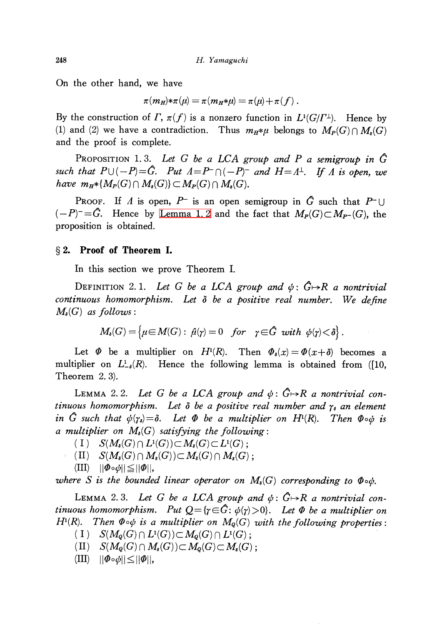On the other hand, we have

 $\pi(m_{H})*\pi(\mu)=\pi(m_{H}*\mu)=\pi(\mu)+\pi(f)$ .

By the construction of  $\Gamma,\, \pi(f)$  is a nonzero function in  $L^{1}(G/\Gamma^{\perp})$ . Hence by (1) and (2) we have a contradiction. Thus  $m_{H}*\mu$  belongs to  $M_{P}(G)\cap M_{s}(G)$ and the proof is complete.

PROPOSITION 1.3. Let G be a LCA group and P a semigroup in  $\hat{G}$ such that  $P\cup(-P)$  =  $G$ . Put  $\Lambda=P^{-}\cap(-P)^{-}$  and  $H=\Lambda^{\perp}$ . If  $\Lambda$  is open, we have  $m_{H}*\{M_{P}(G)\cap M_{s}(G)\}\subset M_{P}(G)\cap M_{s}(G)$ .

PROOF. If  $\Lambda$  is open,  $P^{-}$  is an open semigroup in  $\hat{G}$  such that  $P^{-}\cup$  $(-P)^{-}=\hat{G}$ . Hence by [Lemma](#page-3-1) 1. 2 and the fact that  $M_{P}(G)\subset M_{P^{-}}(G)$ , the proposition is obtained.

## \S 2. Proof of Theorem I.

In this section we prove Theorem I.

DEFINITION 2.1. Let G be a LCA group and  $\phi: \mathring{G} \rightarrow \mathring{R}$  a nontrivial continuous homomorphism. Let  $\delta$  be a positive real number. We define  $M_{\delta}(G)$  as follows :

$$
M_{\delta}(G) = \left\{ \mu \in M(G): \ \hat{\mu}(\gamma) = 0 \quad \text{for} \quad \gamma \in \hat{G} \ \text{ with } \ \phi(\gamma) < \delta \right\}.
$$

Let  $\Phi$  be a multiplier on  $H^{1}(R)$ . Then  $\Phi_{\delta}(x)=\Phi(x+\delta)$  becomes a multiplier on  $L_{-\delta}^{1}(R)$ . Hence the following lemma is obtained from ([10, Theorem 2. 3).

<span id="page-4-1"></span>LEMMA 2.2. Let G be a LCA group and  $\phi: \hat{G} \rightarrow R$  a nontrivial continuous homomorphism. Let  $\delta$  be a positive real number and  $\gamma_{\delta}$  an element in  $G$  such that  $\phi(\gamma_{\delta}){=}\delta.$  Let  $\varPhi$  be a multiplier on  $H^{1}(R)$ . Then  $\varPhi\circ\phi$  is a multiplier on  $M_{\alpha}(G)$  satisfying the following:

- (I)  $S(M_{\mathfrak{d}}(G)\cap L^{1}(G))\subset M_{\mathfrak{d}}(G)\subset L^{1}(G)$  ;
- $\langle \text{II} \rangle$   $S(M_{\mathfrak{s}}(G)\cap M_{\mathfrak{s}}(G))\subset M_{\mathfrak{s}}(G)\cap M_{\mathfrak{s}}(G) ;$
- $\langle III \rangle$   $||\Phi\circ\phi|| \leq ||\Phi||$ ,

where  $S$  is the bounded linear operator on  $M_{\boldsymbol s}(G)$  corresponding to  $\pmb\Phi\circ\pmb\phi.$ 

<span id="page-4-0"></span>LEMMA 2.3. Let G be a LCA group and  $\phi: \hat{G} \rightarrow R$  a nontrivial continuous homomorphism. Put  $Q { = }\{ \gamma{\in} G\colon \phi(\gamma){>}0\}$ . Let  $\Phi$  be a multiplier on  $H^{1}(R)$ . Then  $\Phi\circ\phi$  is a multiplier on  $M_{\rho}(G)$  with the following properties:

- $(1)$   $S(M_{Q}(G)\cap L^{1}(G))\subset M_{Q}(G)\cap L^{1}(G) ;$
- (II)  $S(M_{\mathbf{Q}}(G)\cap M_{\mathbf{s}}(G))\subset M_{\mathbf{Q}}(G)\subset M_{\mathbf{s}}(G)$ ;
- $\langle III \rangle$   $||\Phi\circ\phi|| \leq ||\Phi||$ ,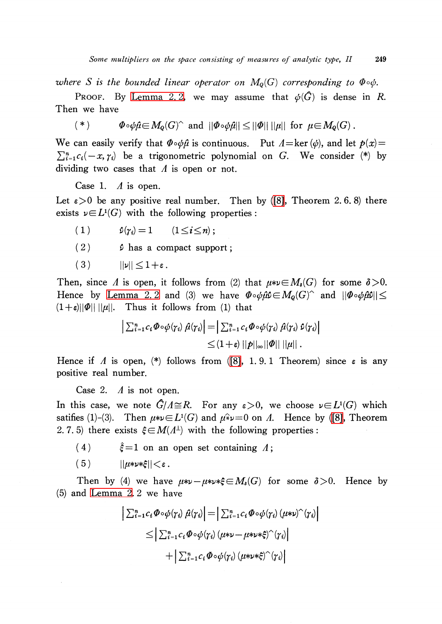where  $S$  is the bounded linear operator on  $M_{\mathbb{Q}}(G)$  corresponding to  $\pmb{\Phi}\circ\pmb{\phi}.$ 

PROOF. By [Lemma](#page-4-1) 2.2, we may assume that  $\phi(\hat{G})$  is dense in R. Then we have

(\*)  $\Phi\circ\phi\hat{\mu}\in M_{Q}(G)^{\wedge}$  and  $||\Phi\circ\phi\hat{\mu}||\leq||\Phi||\cdot||\mu||$  for  $\mu\in M_{Q}(G)$ .

We can easily verify that  $\Phi\circ\phi\hat{\mu}$  is continuous. Put  $\Lambda=\ker(\phi)$ , and let  $p(x)=\Psi(x)$  $\sum_{i=1}^{n}c_{i}(-x, \gamma_{i})$  be a trigonometric polynomial on G. We consider (\*) by dividing two cases that  $\Lambda$  is open or not.

Case 1.  $\Lambda$  is open.

Let  $\epsilon>0$  be any positive real number. Then by [\(\[8\],](#page-10-2) Theorem 2.6.8) there exists  $\nu \in L^{1}(G)$  with the following properties :

- (1)  $\hat{\nu}(\gamma_{i})=1$   $(1\leq i\leq n)$ ;
- (2)  $\hat{\rho}$  has a compact support;

$$
(3) \qquad ||\nu|| \leq 1 + \varepsilon.
$$

Then, since  $\Lambda$  is open, it follows from (2) that  $\mu*\nu\in M_{\delta}(G)$  for some  $\delta>0$ . Hence by [Lemma](#page-4-1) 2.2 and (3) we have  $\Phi\circ\phi\hat{\mu}\hat{\nu}\in M_{\mathcal{Q}}(G)^{\wedge}$  and  $||\Phi\circ\phi\hat{\mu}\hat{\nu}||\leq$  $(1+\varepsilon)||\varPhi||$   $||\mu||$ . Thus it follows from (1) that

$$
\left| \sum_{i=1}^{n} c_i \Phi \circ \phi(\gamma_i) \hat{\mu}(\gamma_i) \right| = \left| \sum_{i=1}^{n} c_i \Phi \circ \phi(\gamma_i) \hat{\mu}(\gamma_i) \hat{\nu}(\gamma_i) \right|
$$
  

$$
\leq (1+\varepsilon) ||p||_{\infty} ||\Phi|| ||\mu||.
$$

Hence if  $\Lambda$  is open, (\*) follows from [\(\[8\],](#page-10-2) 1. 9. 1 Theorem) since  $\varepsilon$  is any positive real number.

Case 2.  $\Lambda$  is not open.

In this case, we note  $G/\varLambda\cong R$ . For any  $\varepsilon\!>\!0,$  we choose  $\nu\!\in\!L^{_1}\!(G)$  which satifies (1)-(3). Then  $\mu*\nu\!\in\! L^{1}(G)$  and  $\mu\hat*\nu\!=\!0$  on  $\Lambda$ . Hence by [\(\[8\],](#page-10-2) Theorem 2. 7. 5) there exists  $\xi \in M(\Lambda^{\perp})$  with the following properties:

- (4)  $\hat{\xi}=1$  on an open set containing  $\Lambda$ ;
- $(5)$   $||\mu*\nu*\xi||<\varepsilon$ .

Then by (4) we have  $\mu*\nu-\mu*\nu*\xi\in M_{\delta}(G)$  for some  $\delta>0$ . Hence by (5) and [Lemma](#page-4-1) 2. 2 we have

$$
\begin{aligned} \left| \sum_{i=1}^{n} c_i \Phi \circ \phi(\gamma_i) \hat{\mu}(\gamma_i) \right| &= \left| \sum_{i=1}^{n} c_i \Phi \circ \phi(\gamma_i) \left( \mu * \nu \right)^{\wedge} (\gamma_i) \right| \\ &\leq \left| \sum_{i=1}^{n} c_i \Phi \circ \phi(\gamma_i) \left( \mu * \nu - \mu * \nu * \xi \right)^{\wedge} (\gamma_i) \right| \\ &\quad + \left| \sum_{i=1}^{n} c_i \Phi \circ \phi(\gamma_i) \left( \mu * \nu * \xi \right)^{\wedge} (\gamma_i) \right| \end{aligned}
$$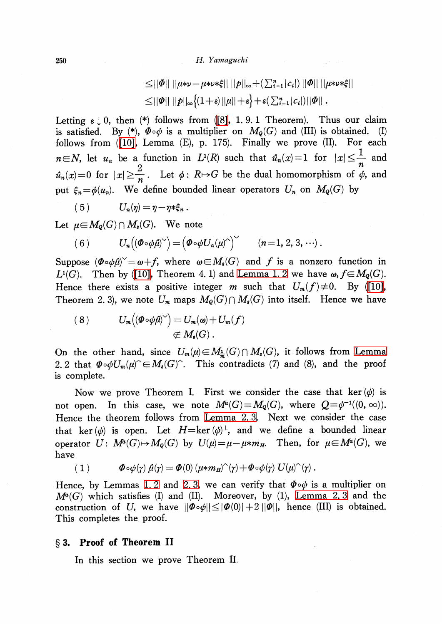$$
\leq ||\varPhi|| \ ||\mu * \nu - \mu * \nu * \xi|| \ ||\rho||_{\infty} + (\sum_{i=1}^{n} |c_{i}|) ||\varPhi|| ||\mu * \nu * \xi||
$$
  

$$
\leq ||\varPhi|| ||\rho||_{\infty} \big\{ (1+\varepsilon) ||\mu|| + \varepsilon \big\} + \varepsilon (\sum_{i=1}^{n} |c_{i}|) ||\varPhi|| .
$$

Letting  $\varepsilon \downarrow 0$ , then (\*) follows from [\(\[8\],](#page-10-2) 1. 9. 1 Theorem). Thus our claim is satisfied. By (\*),  $\pmb\Phi\circ\pmb\varphi$  is a multiplier on  $M_{\pmb\varrho}(G)$  and (III) is obtained. (I) follows from [\(\[10\],](#page-11-0) Lemma (E), p. 175). Finally we prove (II). For each  $n\in N$ , let  $u_{n}$  be a function in  $L^{1}(R)$  such that  $\hat{u}_{n}(x)=1$  for  $|x| \leq \frac{1}{n}$  and  $\hat{u}_{n}(x)=0$  for  $|x| \geq \frac{2}{n}$ . Let  $\phi:R\mapsto G$  be the dual homomorphism of  $\phi$ , and put  $\xi_{n}{=}\phi(u_{n}).$  We define bounded linear operators  $U_{n}$  on  $M_{Q}(G)$  by

$$
(5) \tU_n(\eta) = \eta - \eta * \xi_n.
$$

Let  $\mu\in M_{\mathcal{Q}}(G)\cap M_{s}(G)$ . We note

(6) 
$$
U_n((\boldsymbol{\Phi} \circ \boldsymbol{\phi} \hat{\boldsymbol{\mu}})^{\vee}) = (\boldsymbol{\Phi} \circ \boldsymbol{\phi} U_n(\boldsymbol{\mu})^{\wedge})^{\vee} \qquad (n = 1, 2, 3, \cdots).
$$

Suppose  $(\Phi\circ\phi\hat{\mu})^{\vee}=\omega+f$ , where  $\omega\in M_{s}(G)$  and f is a nonzero function in  $L^{1}(G)$ . Then by ([10] Theorem A 1) and I emma 1.2 we have  $\omega_f \in M_{s}(G)$ .  $L^{1}(G)$ . Then by [\(\[10\],](#page-11-0) Theorem 4. 1) and [Lemma](#page-3-1) 1. 2 we have  $\omega, f\in M_{Q}(G)$ . Hence there exists a positive integer m such that  $U_{m}(f) \neq 0$ . By [\(\[10\],](#page-11-0) Theorem 2. 3), we note  $U_{m}$  maps  $M_{Q}(G)\cap M_{s}(G)$  into itself. Hence we have

(8) 
$$
U_m((\Phi \circ \phi \hat{\mu})^{\vee}) = U_m(\omega) + U_m(f)
$$

$$
\not\in M_s(G).
$$

On the other hand, since  $U_{m}(\mu)\in M_{\frac{1}{m}}(G)\cap M_{s}(G)$ , it follows from [Lemma](#page-4-1) 2. 2 that  $\Phi\circ\phi U_{m}(\mu)^{\sim} \in M_{s}(G)^{\sim}$ . This contradicts (7) and (8), and the proof is complete.

Now we prove Theorem I. First we consider the case that ker  $(\phi)$  is not open. In this case, we note  $M^{a}(G)=M_{Q}(G)$ , where  $Q=\phi^{-1}((0, \infty))$ . Hence the theorem follows from [Lemma](#page-4-0) 2. 3. Next we consider the case that ker ( $\phi$ ) is open. Let  $H=\ker(\phi)^{\perp}$ , and we define a bounded linear operator  $U: M^{a}(G)\mapsto M_{Q}(G)$  by  $U(\mu)=\mu-\mu*m_{H}$ . Then, for  $\mu\in M^{a}(G)$ , we have

$$
(1) \t\Phi \circ \phi(\gamma) \hat{\mu}(\gamma) = \Phi(0) \left(\mu * m_H\right)^{\hat{}}(\gamma) + \Phi \circ \phi(\gamma) U(\mu)^{\hat{}}(\gamma).
$$

Hence, by Lemmas [1.](#page-3-1)2 and [2.](#page-4-0)3, we can verify that  $\Phi\circ\phi$  is a multiplier on  $M^{a}(G)$  which satisfies (I) and (II). Moreover, by (1), [Lemma](#page-4-0) 2.3 and the construction of U, we have  $||\Phi\circ\phi|| \leq |\Phi(0)|+2||\Phi||$ , hence (III) is obtained. This completes the proof.

#### \S 3. Proof of Theorem II

In this section we prove Theorem II.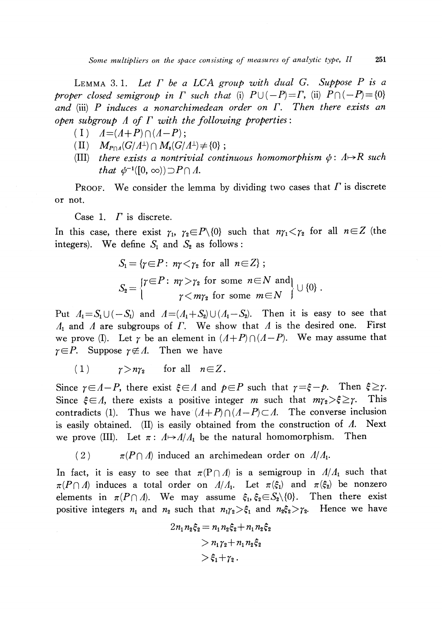<span id="page-7-0"></span>LEMMA 3.1. Let  $\Gamma$  be a LCA group with dual G. Suppose  $P$  is a proper closed semigroup in  $\Gamma$  such that (i)  $P\cup(-P)=\Gamma$ , (ii)  $P\cap(-P)=\{0\}$ and (iii) P induces a nonarchimedean order on  $\Gamma$ . Then there exists an open subgroup  $\Lambda$  of  $\Gamma$  with the following properties:

- $(I) \quad A=(A+P)\cap(A-P)$ ;
- (II)  $M_{P\cap A}(G/\Lambda^{\perp})\cap M_{s}(G/\Lambda^{\perp})\neq\{0\}$ ;
- (III) there exists a nontrivial continuous homomorphism  $\phi:\Lambda\rightarrow \mathbb{R}$  such that  $\phi^{-1}([0, \infty))\supset P\cap\Lambda$ .

PROOF. We consider the lemma by dividing two cases that  $\Gamma$  is discrete or not.

Case 1.  $\Gamma$  is discrete.

In this case, there exist  $\gamma_{1}$ ,  $\gamma_{2}\in P\setminus\{0\}$  such that  $n\gamma_{1}\leq \gamma_{2}$  for all  $n\in Z$  (the integers). We define  $S_{1}$  and  $S_{2}$  as follows :

$$
S_1 = \{ \gamma \in P : n\gamma < \gamma_2 \text{ for all } n \in \mathbb{Z} \} ;
$$
\n
$$
S_2 = \begin{cases} \gamma \in P : n\gamma > \gamma_2 \text{ for some } n \in \mathbb{N} \text{ and} \\ \gamma < m\gamma_2 \text{ for some } m \in \mathbb{N} \end{cases} \} \cup \{0\} .
$$

Put  $\Lambda_{1}=S_{1}\cup(-S_{1})$  and  $\Lambda=(\Lambda_{1}+S_{2})\cup(\Lambda_{1}-S_{2})$ . Then it is easy to see that  $\Lambda_{1}$  and  $\Lambda$  are subgroups of  $\Gamma$ . We show that  $\Lambda$  is the desired one. First we prove (I). Let  $\gamma$  be an element in  $(\Lambda+P)\cap(\Lambda-P)$ . We may assume that  $\gamma{\in}P$ . Suppose  $\gamma{\not\in}\varLambda$ . Then we have

$$
(1) \t\t \gamma > n\gamma_2 \t \text{for all} \t n \in Z.
$$

Since  $\gamma\!\in\!A\!-\!P$ , there exist  $\xi\!\in\!A$  and  $p\!\in\!P$  such that  $\gamma\!=\!\xi\!-\!p$ . Then  $\xi\!\geq\!\gamma$ . Since  $\xi\!\in\!\varLambda$ , there exists a positive integer m such that  $m_{\Upsilon_2}\!\!>\!\xi\!\geq\!\gamma$ . . This contradicts (1). Thus we have  $(A+P)\cap(A-P)\subset\Lambda$ . The converse inclusion is easily obtained. (II) is easily obtained from the construction of  $\Lambda$ . Next we prove (III). Let  $\pi : \Lambda \rightarrow \Lambda/\Lambda_{1}$  be the natural homomorphism. Then

(2)  $\pi(P\cap\Lambda)$  induced an archimedean order on  $\Lambda/\Lambda_{1}$ .

In fact, it is easy to see that  $\pi(P\cap\Lambda)$  is a semigroup in  $\Lambda/\Lambda_{1}$  such that  $\pi(P\cap\Lambda)$  induces a total order on  $\Lambda/\Lambda_{1}$ . Let  $\pi(\xi_{1})$  and  $\pi(\xi_{2})$  be nonzero elements in  $\pi(P\cap\varLambda)$ . We may assume  $\xi_{1}, \xi_{2}\in S_{2}\backslash \{0\}$ . Then there exist positive integers  $n_{1}$  and  $n_{2}$  such that  $n_{1}\gamma_{2}>\xi_{1}$  and  $n_{2}\xi_{2}>\gamma_{2}$ . Hence we have

$$
2n_1n_2\xi_2 = n_1n_2\xi_2 + n_1n_2\xi_2
$$
  
>  $n_1\gamma_2 + n_1n_2\xi_2$   
>  $\xi_1 + \gamma_2$ .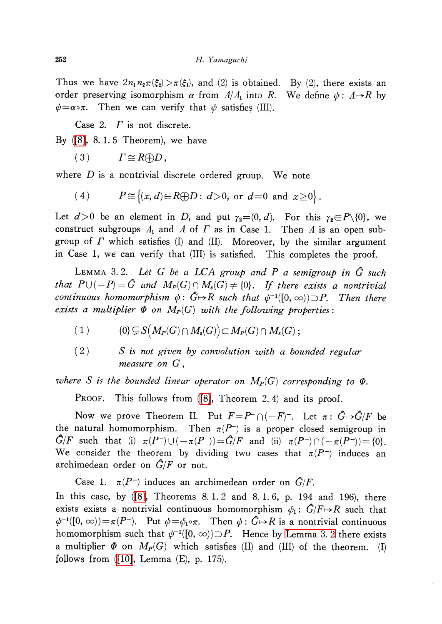Thus we have  $2n_{1}n_{2}\pi(\xi_{2})>\pi(\xi_{1})$ , and (2) is obtained. By (2), there exists an order preserving isomorphism  $\alpha$  from  $\Lambda/\Lambda_{1}$  into R. We define  $\phi:\Lambda\mapsto R$  by  $\phi\text{=} \alpha\circ\pi$ . Then we can verify that  $\phi$  satisfies (III).

Case 2.  $\Gamma$  is not discrete.

By [\(\[8\],](#page-10-2) 8. 1. 5 Theorem), we have

(3)  $\Gamma \cong R\oplus D$ ,

where  $D$  is a nontrivial discrete ordered group. We note

(4) 
$$
P \cong \{(x, d) \in R \oplus D : d > 0, \text{ or } d = 0 \text{ and } x \ge 0\}.
$$

Let  $d>0$  be an element in D, and put  $\gamma_{2}=(0, d)$ . For this  $\gamma_{2}\in P\setminus \{0\}$ , we construct subgroups  $\Lambda_{1}$  and  $\Lambda$  of  $\Gamma$  as in Case 1. Then  $\Lambda$  is an open subgroup of  $\Gamma$  which satisfies (I) and (II). Moreover, by the similar argument in Case 1, we can verify that (III) is satisfied. This completes the proof.

<span id="page-8-0"></span>LEMMA 3.2. Let G be a LCA group and P a semigroup in  $\hat{G}$  such that  $P\cup(-P)=\hat{G}$  and  $M_{P}(G)\cap M_{s}(G)\neq\{0\}$ . If there exists a nontrivial continuous homomorphism  $\phi\colon\thinspace G\!\!\mapsto\! R$  such that  $\phi^{-1}([0, \infty))\!\supset\! P.$  Then there exists a multiplier  $\Phi$  on  $M_{P}(G)$  with the following properties :

- (1)  $\{0\}\subsetneq S(M_{P}(G)\cap M_{s}(G))\subset M_{P}(G)\cap M_{s}(G)$  ;
- $(2)$  S is not given by convolution with a bounded regular measure on G,

where  $S$  is the bounded linear operator on  $M_{P}(G)$  corresponding to  $\varPhi.$ 

PROOF. This follows from [\(\[8\],](#page-10-2) Theorem 2.4) and its proof.

Now we prove Theorem II. Put  $F=P^{-}\cap(-F)^{-}$ . Let  $\pi:G\mapsto G/F$  be the natural homomorphism. Then  $\pi(P^{-})$  is a proper closed semigroup in  $\hat{G}/F$  such that (i)  $\pi(P^{-})\cup(-\pi(P^{-}))=\hat{G}/F$  and (ii)  $\pi(P^{-})\cap(-\pi(P^{-}))=\{0\}$ . We consider the theorem by dividing two cases that  $\pi(P^{-})$  induces an archimedean order on  $\hat{G}/F$  or not.

Case 1.  $\pi(P^{-})$  induces an archimedean order on  $\hat{G}/F$ . In this case, by [\(\[8\],](#page-10-2) Theorems 8. 1.2 and 8. 1.6, p. 194 and 196), there exists exists a nontrivial continuous homomorphism  $\phi_{1} : \hat{G}/F \rightarrow R$  such that  $\phi^{-1}([0, \, \infty))\!=\!\pi(P^{-}).$  Put  $\phi\!=\!\phi_{1^{\circ}}\pi.$  Then  $\phi:G\!\!\mapsto\! R$  is a nontrivial continuous homomorphism such that  $\phi^{-1}([0, \infty))\!\supset\! P$ . Hence by [Lemma](#page-8-0) 3.2 there exists a multiplier  $\Phi$  on  $M_{P}(G)$  which satisfies (II) and (III) of the theorem. (I) follows from  $(10]$ , Lemma  $(E)$ , p. 175).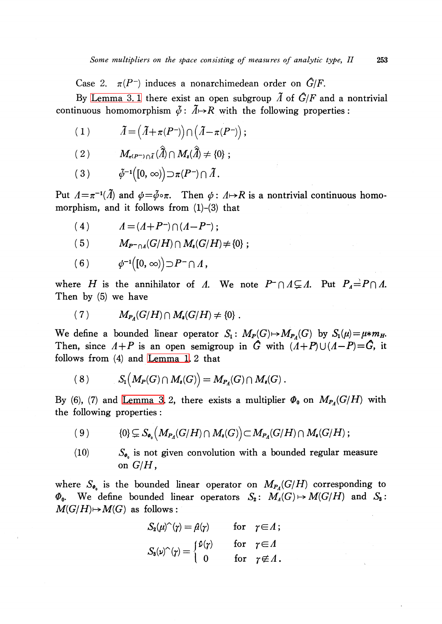Case 2.  $\pi(P^{-})$  induces a nonarchimedean order on  $\hat{G}/F$ .

By [Lemma](#page-7-0) 3.1 there exist an open subgroup  $\tilde{A}$  of  $\tilde{G}/F$  and a nontrivial continuous homomorphism  $\tilde{\phi}:\tilde{A}\rightarrow R$  with the following properties:

$$
(1) \t\t \tilde{A} = (\tilde{A} + \pi (P^{-}) ) \cap (\tilde{A} - \pi (P^{-}) ) ;
$$

$$
(2) \t M_{\pi(P^{-})\cap \tilde{A}}(\tilde{A})\cap M_{s}(\tilde{A})\neq \{0\};
$$

 $(3) \hspace{10mm} \tilde{\phi}^{-1}([0, \infty))\!\supset\!\pi(P^{-})\!\cap\tilde{\varLambda}\,.$ 

Put  $\Lambda=\pi^{-1}(\Lambda)$  and  $\phi=\tilde\phi\circ\pi$ . Then  $\phi:\Lambda\mapsto R$  is a nontrivial continuous homomorphism, and it follows from  $(1)-(3)$  that

(4)  $\Lambda = (A+P^{-})\cap(A-P^{-})$  ;

$$
(5) \tM_{P^-\cap A}(G/H)\cap M_s(G/H)\neq {0} ;
$$

 $(6) \qquad \phi^{-1}([0, \infty))\!\supset\! P^-\!\cap\varLambda\,,$ 

where H is the annihilator of  $\Lambda$ . We note  $P^{-}\cap\Lambda\subsetneq\Lambda$ . Put  $P_{A}=P\cap\Lambda$ . Then by (5) we have

$$
(7) \tM_{P_4}(G/H) \cap M_*(G/H) \neq \{0\}.
$$

We define a bounded linear operator  $S_{1}$ :  $M_{P}(G)\mapsto M_{P_{A}}(G)$  by  $S_{1}(\mu)=\mu*m_{H}$ . Then, since  $\Lambda+P$  is an open semigroup in G with  $(\Lambda+P)\cup(\Lambda-P)=G$ , it follows from (4) and [Lemma](#page-3-1) 1. 2 that

$$
(8) \tS1(MP(G) \cap Ms(G)) = MPA(G) \cap Ms(G).
$$

By (6), (7) and [Lemma](#page-8-0) 3.2, there exists a multiplier  $\Phi_{0}$  on  $M_{P_{A}}(G/H)$  with the following properties :

$$
(9) \qquad \qquad \{0\} \subsetneq S_{\bullet} \left( M_{P_A}(G/H) \cap M_{s}(G) \right) \subset M_{P_A}(G/H) \cap M_{s}(G/H) ;
$$

(10)  $S_{\phi_{0}}$  is not given convolution with a bounded regular measure on  $G/H$ .

where  $S_{\Phi_{0}}$  is the bounded linear operator on  $M_{P_{A}}(G/H)$  corresponding to  $\Phi_{0}$ . We define bounded linear operators  $S_{2} \colon$   $M_{4}(G)\mapsto M(G/H)$  and  $S_{3}$ :  $M(G/H) \mapsto M(G)$  as follows:

$$
S_2(\mu)^\wedge(\gamma) = \hat{\mu}(\gamma) \quad \text{for} \quad \gamma \in \Lambda \, ;
$$
  

$$
S_3(\nu)^\wedge(\gamma) = \begin{cases} \hat{\nu}(\gamma) & \text{for} \quad \gamma \in \Lambda \\ 0 & \text{for} \quad \gamma \notin \Lambda \, . \end{cases}
$$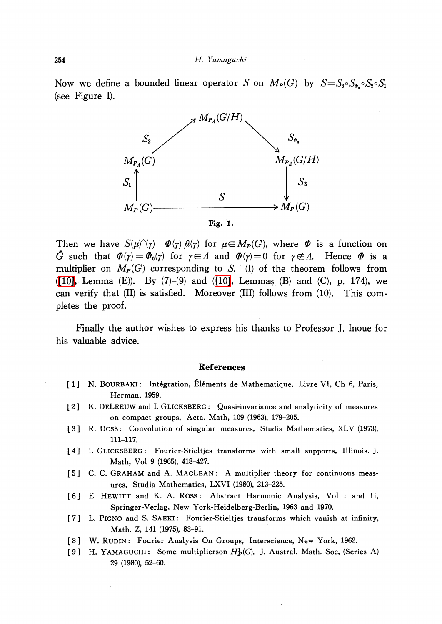Now we define a bounded linear operator S on  $M_{P}(G)$  by  $S=S_{3}\circ S_{\varphi_{0}}\circ S_{2}\circ S_{1}$ (see Figure I).



Then we have  $S(\mu)^{\wedge}(\gamma)=\Phi(\gamma)\hat{\mu}(\gamma)$  for  $\mu\in M_{P}(G)$ , where  $\Phi$  is a function on  $G$  such that  $\pmb{\varPhi}(\pmb{\gamma})=\pmb{\varPhi}_{\pmb{0}}(\pmb{\gamma})$  for  $\pmb{\gamma}\!\in\!\varLambda$  and  $\pmb{\varPhi}(\pmb{\gamma})\!=\!0$  for  $\pmb{\gamma}\!\not\in\!\varLambda$ . Hence  $\pmb{\varPhi}$  is a multiplier on  $M_{P}(G)$  corresponding to S. (I) of the theorem follows from [\(\[10\],](#page-11-0) Lemma  $(E)$ ). By  $(7)-(9)$  and  $([10]$ , Lemmas  $(B)$  and  $(C)$ , p. 174), we can verify that (II) is satisfied. Moreover (III) follows from (10). This completes the proof.

Finally the author wishes to express his thanks to Professor J. Inoue for his valuable advice.

#### References

- <span id="page-10-1"></span>[1] N. BOURBAKI: Intégration, Éléments de Mathematique, Livre VI, Ch 6, Paris, Herman, 1959.
- [2] K. DELEEUW and I. GLICKSBERG: Quasi-invariance and analyticity of measures on compact groups, Acta. Math, 109 (1963), 179-205.
- [3] R. DosS: Convolution of singular measures, Studia Mathematics, XLV (1973), 111-117.
- [4] I. GLICKSBERG: Fourier-Stieltjes transforms with small supports, Illinois. J. Math, Vol 9 (1965), 418-427.
- <span id="page-10-0"></span>[5] C. C. GRAHAM and A. MACLEAN: A multiplier theory for continuous measures, Studia Mathematics, LXVI (1980), 213-225.
- [6] E. HEWITT and K. A. ROss: Abstract Harmonic Analysis, Vol <sup>I</sup> and II, Springer-Verlag, New York-Heidelberg-Berlin, 1963 and 1970.
- <span id="page-10-3"></span>[7] L. PIGNO and S. SAEKI: Fourier-Stieltjes transforms which vanish at infinity, Math. Z, 141 (1975), 83-91.
- <span id="page-10-2"></span>[8] W. RUDIN: Fourier Analysis On Groups, Interscience, New York, 1962.
- [9] H. YAMAGUCHI: Some multiplierson  $H_{p}^{1}(G)$ , J. Austral. Math. Soc, (Series A) 29 (1980), 52-60.